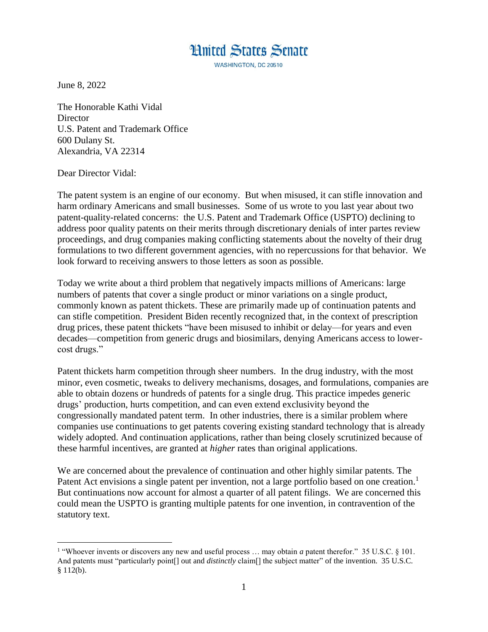**Hnited States Senate** 

WASHINGTON, DC 20510

June 8, 2022

The Honorable Kathi Vidal **Director** U.S. Patent and Trademark Office 600 Dulany St. Alexandria, VA 22314

Dear Director Vidal:

 $\overline{a}$ 

The patent system is an engine of our economy. But when misused, it can stifle innovation and harm ordinary Americans and small businesses. Some of us wrote to you last year about two patent-quality-related concerns: the U.S. Patent and Trademark Office (USPTO) declining to address poor quality patents on their merits through discretionary denials of inter partes review proceedings, and drug companies making conflicting statements about the novelty of their drug formulations to two different government agencies, with no repercussions for that behavior. We look forward to receiving answers to those letters as soon as possible.

Today we write about a third problem that negatively impacts millions of Americans: large numbers of patents that cover a single product or minor variations on a single product, commonly known as patent thickets. These are primarily made up of continuation patents and can stifle competition. President Biden recently recognized that, in the context of prescription drug prices, these patent thickets "have been misused to inhibit or delay—for years and even decades—competition from generic drugs and biosimilars, denying Americans access to lowercost drugs."

Patent thickets harm competition through sheer numbers. In the drug industry, with the most minor, even cosmetic, tweaks to delivery mechanisms, dosages, and formulations, companies are able to obtain dozens or hundreds of patents for a single drug. This practice impedes generic drugs' production, hurts competition, and can even extend exclusivity beyond the congressionally mandated patent term. In other industries, there is a similar problem where companies use continuations to get patents covering existing standard technology that is already widely adopted. And continuation applications, rather than being closely scrutinized because of these harmful incentives, are granted at *higher* rates than original applications.

We are concerned about the prevalence of continuation and other highly similar patents. The Patent Act envisions a single patent per invention, not a large portfolio based on one creation.<sup>1</sup> But continuations now account for almost a quarter of all patent filings. We are concerned this could mean the USPTO is granting multiple patents for one invention, in contravention of the statutory text.

<sup>&</sup>lt;sup>1</sup> "Whoever invents or discovers any new and useful process ... may obtain *a* patent therefor." 35 U.S.C. § 101. And patents must "particularly point[] out and *distinctly* claim[] the subject matter" of the invention. 35 U.S.C.  $§ 112(b).$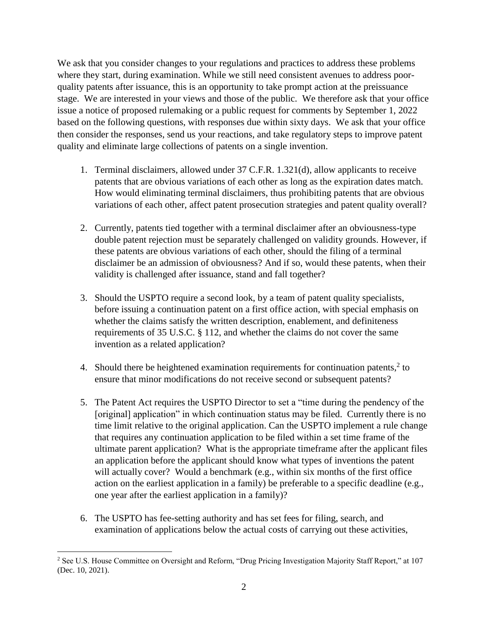We ask that you consider changes to your regulations and practices to address these problems where they start, during examination. While we still need consistent avenues to address poorquality patents after issuance, this is an opportunity to take prompt action at the preissuance stage. We are interested in your views and those of the public. We therefore ask that your office issue a notice of proposed rulemaking or a public request for comments by September 1, 2022 based on the following questions, with responses due within sixty days. We ask that your office then consider the responses, send us your reactions, and take regulatory steps to improve patent quality and eliminate large collections of patents on a single invention.

- 1. Terminal disclaimers, allowed under 37 C.F.R. 1.321(d), allow applicants to receive patents that are obvious variations of each other as long as the expiration dates match. How would eliminating terminal disclaimers, thus prohibiting patents that are obvious variations of each other, affect patent prosecution strategies and patent quality overall?
- 2. Currently, patents tied together with a terminal disclaimer after an obviousness-type double patent rejection must be separately challenged on validity grounds. However, if these patents are obvious variations of each other, should the filing of a terminal disclaimer be an admission of obviousness? And if so, would these patents, when their validity is challenged after issuance, stand and fall together?
- 3. Should the USPTO require a second look, by a team of patent quality specialists, before issuing a continuation patent on a first office action, with special emphasis on whether the claims satisfy the written description, enablement, and definiteness requirements of 35 U.S.C. § 112, and whether the claims do not cover the same invention as a related application?
- 4. Should there be heightened examination requirements for continuation patents, $2$  to ensure that minor modifications do not receive second or subsequent patents?
- 5. The Patent Act requires the USPTO Director to set a "time during the pendency of the [original] application" in which continuation status may be filed. Currently there is no time limit relative to the original application. Can the USPTO implement a rule change that requires any continuation application to be filed within a set time frame of the ultimate parent application? What is the appropriate timeframe after the applicant files an application before the applicant should know what types of inventions the patent will actually cover? Would a benchmark (e.g., within six months of the first office action on the earliest application in a family) be preferable to a specific deadline (e.g., one year after the earliest application in a family)?
- 6. The USPTO has fee-setting authority and has set fees for filing, search, and examination of applications below the actual costs of carrying out these activities,

 $\overline{a}$ 

<sup>&</sup>lt;sup>2</sup> See U.S. House Committee on Oversight and Reform, "Drug Pricing Investigation Majority Staff Report," at 107 (Dec. 10, 2021).